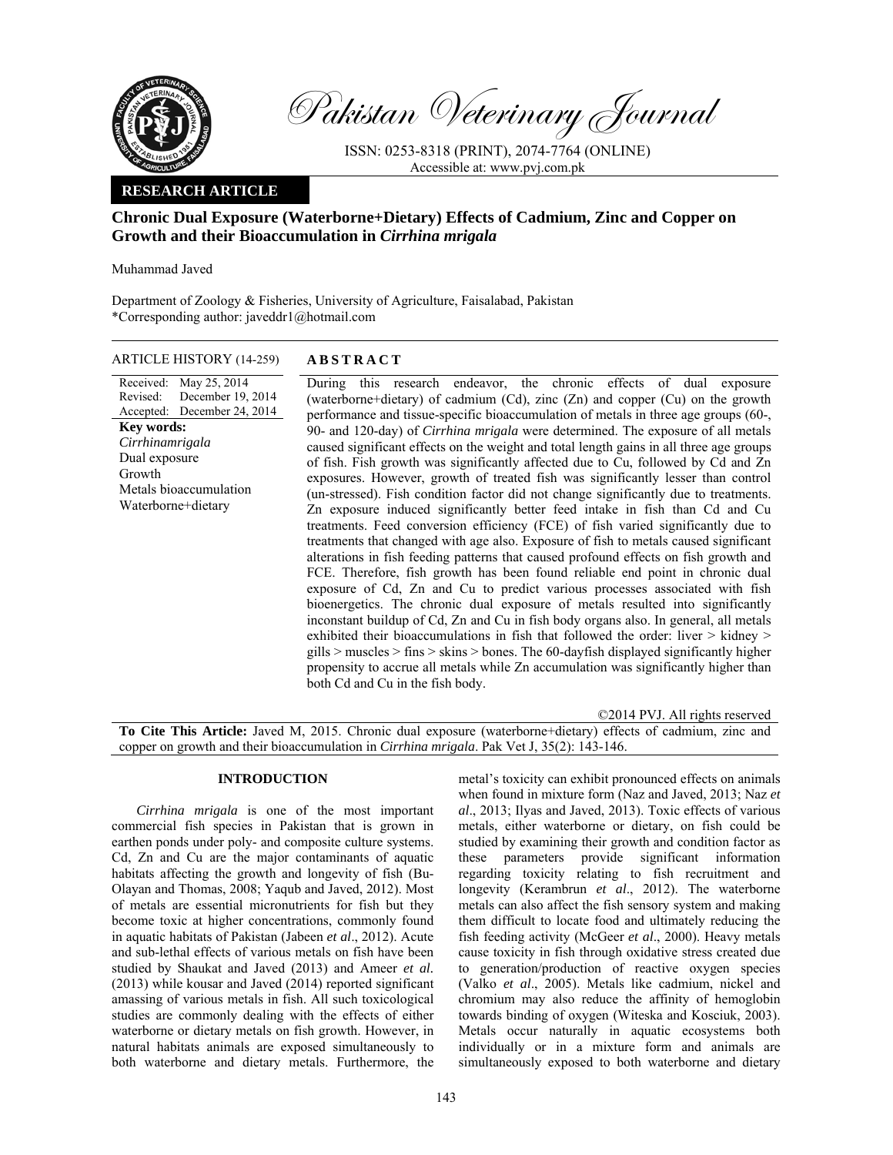

Pakistan Veterinary Journal

ISSN: 0253-8318 (PRINT), 2074-7764 (ONLINE) Accessible at: www.pvj.com.pk

# **RESEARCH ARTICLE**

# **Chronic Dual Exposure (Waterborne+Dietary) Effects of Cadmium, Zinc and Copper on Growth and their Bioaccumulation in** *Cirrhina mrigala*

Muhammad Javed

Department of Zoology & Fisheries, University of Agriculture, Faisalabad, Pakistan \*Corresponding author: javeddr1@hotmail.com

ARTICLE HISTORY (14-259) **ABSTRACT** 

### Received: May 25, 2014 Revised: Accepted: December 19, 2014 December 24, 2014 **Key words:**  *Cirrhinamrigala*  Dual exposure Growth Metals bioaccumulation Waterborne+dietary

 During this research endeavor, the chronic effects of dual exposure (waterborne+dietary) of cadmium (Cd), zinc (Zn) and copper (Cu) on the growth performance and tissue-specific bioaccumulation of metals in three age groups (60-, 90- and 120-day) of *Cirrhina mrigala* were determined. The exposure of all metals caused significant effects on the weight and total length gains in all three age groups

of fish. Fish growth was significantly affected due to Cu, followed by Cd and Zn exposures. However, growth of treated fish was significantly lesser than control (un-stressed). Fish condition factor did not change significantly due to treatments. Zn exposure induced significantly better feed intake in fish than Cd and Cu treatments. Feed conversion efficiency (FCE) of fish varied significantly due to treatments that changed with age also. Exposure of fish to metals caused significant alterations in fish feeding patterns that caused profound effects on fish growth and FCE. Therefore, fish growth has been found reliable end point in chronic dual exposure of Cd, Zn and Cu to predict various processes associated with fish bioenergetics. The chronic dual exposure of metals resulted into significantly inconstant buildup of Cd, Zn and Cu in fish body organs also. In general, all metals exhibited their bioaccumulations in fish that followed the order: liver > kidney > gills  $>$  muscles  $>$  fins  $>$  skins  $>$  bones. The 60-dayfish displayed significantly higher propensity to accrue all metals while Zn accumulation was significantly higher than both Cd and Cu in the fish body.

©2014 PVJ. All rights reserved **To Cite This Article:** Javed M, 2015. Chronic dual exposure (waterborne+dietary) effects of cadmium, zinc and copper on growth and their bioaccumulation in *Cirrhina mrigala*. Pak Vet J, 35(2): 143-146.

# **INTRODUCTION**

*Cirrhina mrigala* is one of the most important commercial fish species in Pakistan that is grown in earthen ponds under poly- and composite culture systems. Cd, Zn and Cu are the major contaminants of aquatic habitats affecting the growth and longevity of fish (Bu-Olayan and Thomas, 2008; Yaqub and Javed, 2012). Most of metals are essential micronutrients for fish but they become toxic at higher concentrations, commonly found in aquatic habitats of Pakistan (Jabeen *et al*., 2012). Acute and sub-lethal effects of various metals on fish have been studied by Shaukat and Javed (2013) and Ameer *et al.* (2013) while kousar and Javed (2014) reported significant amassing of various metals in fish. All such toxicological studies are commonly dealing with the effects of either waterborne or dietary metals on fish growth. However, in natural habitats animals are exposed simultaneously to both waterborne and dietary metals. Furthermore, the

metal's toxicity can exhibit pronounced effects on animals when found in mixture form (Naz and Javed, 2013; Naz *et al*., 2013; Ilyas and Javed, 2013). Toxic effects of various metals, either waterborne or dietary, on fish could be studied by examining their growth and condition factor as these parameters provide significant information regarding toxicity relating to fish recruitment and longevity (Kerambrun *et al*., 2012). The waterborne metals can also affect the fish sensory system and making them difficult to locate food and ultimately reducing the fish feeding activity (McGeer *et al*., 2000). Heavy metals cause toxicity in fish through oxidative stress created due to generation/production of reactive oxygen species (Valko *et al*., 2005). Metals like cadmium, nickel and chromium may also reduce the affinity of hemoglobin towards binding of oxygen (Witeska and Kosciuk, 2003). Metals occur naturally in aquatic ecosystems both individually or in a mixture form and animals are simultaneously exposed to both waterborne and dietary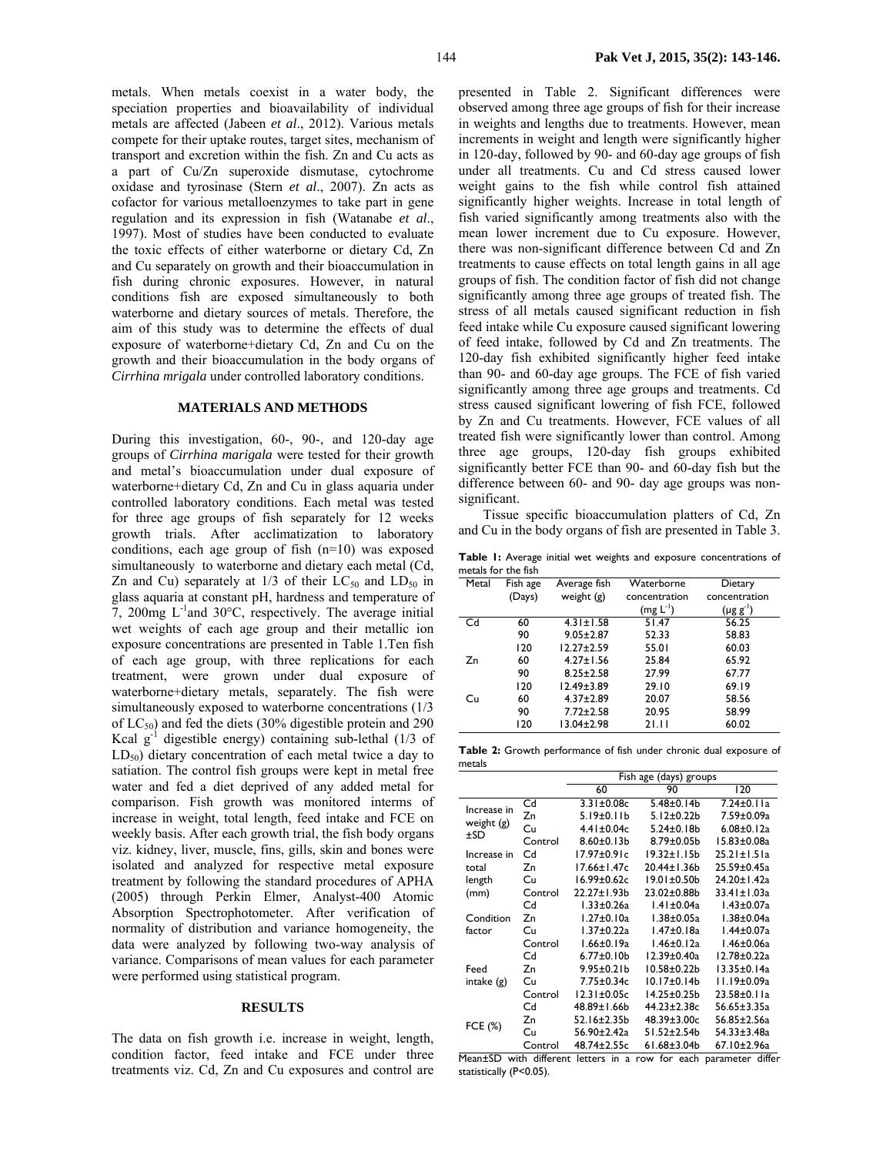metals. When metals coexist in a water body, the speciation properties and bioavailability of individual metals are affected (Jabeen *et al*., 2012). Various metals compete for their uptake routes, target sites, mechanism of transport and excretion within the fish. Zn and Cu acts as a part of Cu/Zn superoxide dismutase, cytochrome oxidase and tyrosinase (Stern *et al*., 2007). Zn acts as cofactor for various metalloenzymes to take part in gene regulation and its expression in fish (Watanabe *et al*., 1997). Most of studies have been conducted to evaluate the toxic effects of either waterborne or dietary Cd, Zn and Cu separately on growth and their bioaccumulation in fish during chronic exposures. However, in natural conditions fish are exposed simultaneously to both waterborne and dietary sources of metals. Therefore, the aim of this study was to determine the effects of dual exposure of waterborne+dietary Cd, Zn and Cu on the growth and their bioaccumulation in the body organs of *Cirrhina mrigala* under controlled laboratory conditions.

## **MATERIALS AND METHODS**

During this investigation, 60-, 90-, and 120-day age groups of *Cirrhina marigala* were tested for their growth and metal's bioaccumulation under dual exposure of waterborne+dietary Cd, Zn and Cu in glass aquaria under controlled laboratory conditions. Each metal was tested for three age groups of fish separately for 12 weeks growth trials. After acclimatization to laboratory conditions, each age group of fish (n=10) was exposed simultaneously to waterborne and dietary each metal (Cd, Zn and Cu) separately at  $1/3$  of their  $LC_{50}$  and  $LD_{50}$  in glass aquaria at constant pH, hardness and temperature of 7, 200mg L-1and 30°C, respectively. The average initial wet weights of each age group and their metallic ion exposure concentrations are presented in Table 1.Ten fish of each age group, with three replications for each treatment, were grown under dual exposure of waterborne+dietary metals, separately. The fish were simultaneously exposed to waterborne concentrations (1/3 of  $LC_{50}$ ) and fed the diets (30% digestible protein and 290 Kcal  $g^{-1}$  digestible energy) containing sub-lethal (1/3 of  $LD_{50}$ ) dietary concentration of each metal twice a day to satiation. The control fish groups were kept in metal free water and fed a diet deprived of any added metal for comparison. Fish growth was monitored interms of increase in weight, total length, feed intake and FCE on weekly basis. After each growth trial, the fish body organs viz. kidney, liver, muscle, fins, gills, skin and bones were isolated and analyzed for respective metal exposure treatment by following the standard procedures of APHA (2005) through Perkin Elmer, Analyst-400 Atomic Absorption Spectrophotometer. After verification of normality of distribution and variance homogeneity, the data were analyzed by following two-way analysis of variance. Comparisons of mean values for each parameter were performed using statistical program.

## **RESULTS**

The data on fish growth i.e. increase in weight, length, condition factor, feed intake and FCE under three treatments viz. Cd, Zn and Cu exposures and control are presented in Table 2. Significant differences were observed among three age groups of fish for their increase in weights and lengths due to treatments. However, mean increments in weight and length were significantly higher in 120-day, followed by 90- and 60-day age groups of fish under all treatments. Cu and Cd stress caused lower weight gains to the fish while control fish attained significantly higher weights. Increase in total length of fish varied significantly among treatments also with the mean lower increment due to Cu exposure. However, there was non-significant difference between Cd and Zn treatments to cause effects on total length gains in all age groups of fish. The condition factor of fish did not change significantly among three age groups of treated fish. The stress of all metals caused significant reduction in fish feed intake while Cu exposure caused significant lowering of feed intake, followed by Cd and Zn treatments. The 120-day fish exhibited significantly higher feed intake than 90- and 60-day age groups. The FCE of fish varied significantly among three age groups and treatments. Cd stress caused significant lowering of fish FCE, followed by Zn and Cu treatments. However, FCE values of all treated fish were significantly lower than control. Among three age groups, 120-day fish groups exhibited significantly better FCE than 90- and 60-day fish but the difference between 60- and 90- day age groups was nonsignificant.

Tissue specific bioaccumulation platters of Cd, Zn and Cu in the body organs of fish are presented in Table 3.

**Table 1:** Average initial wet weights and exposure concentrations of metals for the fish

| Metal | Fish age | Average fish     | Waterborne    | Dietary          |  |
|-------|----------|------------------|---------------|------------------|--|
|       | (Days)   | weight $(g)$     | concentration | concentration    |  |
|       |          |                  | $(mg L^{-1})$ | $(\mu g g^{-1})$ |  |
| Cd    | 60       | $4.31 \pm 1.58$  | 51.47         | 56.25            |  |
|       | 90       | $9.05 \pm 2.87$  | 52.33         | 58.83            |  |
|       | 120      | $12.27 + 2.59$   | 55.01         | 60.03            |  |
| Zn    | 60       | $4.27 \pm 1.56$  | 25.84         | 65.92            |  |
|       | 90       | $8.25 \pm 2.58$  | 27.99         | 67.77            |  |
|       | 120      | $12.49 \pm 3.89$ | 29.10         | 69.19            |  |
| Cu    | 60       | $4.37 \pm 2.89$  | 20.07         | 58.56            |  |
|       | 90       | $7.72 \pm 2.58$  | 20.95         | 58.99            |  |
|       | 120      | 13.04±2.98       | 21.11         | 60.02            |  |

**Table 2:** Growth performance of fish under chronic dual exposure of metals

|                   |         | Fish age (days) groups |                    |                   |  |  |
|-------------------|---------|------------------------|--------------------|-------------------|--|--|
|                   |         | 60                     | 90                 | 120               |  |  |
| Increase in       | Cd      | $3.31 \pm 0.08c$       | $5.48 \pm 0.14$    | $7.24 \pm 0.11a$  |  |  |
|                   | Zn      | $5.19 \pm 0.11 b$      | $5.12 \pm 0.22 b$  | 7.59±0.09a        |  |  |
| weight (g)<br>±SD | Cu      | $4.41 \pm 0.04c$       | $5.24 \pm 0.18$    | $6.08 \pm 0.12a$  |  |  |
|                   | Control | $8.60 \pm 0.13 b$      | $8.79 \pm 0.05$ b  | 15.83±0.08a       |  |  |
| Increase in       | Cd      | $17.97 \pm 0.91c$      | $19.32 \pm 1.15$ b | $25.21 \pm 1.51a$ |  |  |
| total             | Zn      | 17.66±1.47c            | 20.44±1.36b        | 25.59±0.45a       |  |  |
| length            | Cu      | $16.99 \pm 0.62c$      | $19.01 \pm 0.50$   | 24.20±1.42a       |  |  |
| (mm)              | Control | 22.27±1.93b            | 23.02±0.88b        | 33.41±1.03a       |  |  |
|                   | Cd      | 1.33±0.26a             | $1.41 \pm 0.04a$   | 1.43±0.07a        |  |  |
| Condition         | Zn      | 1.27±0.10a             | $1.38 \pm 0.05a$   | $1.38 \pm 0.04a$  |  |  |
| factor            | Cu      | 1.37±0.22a             | $1.47 \pm 0.18a$   | 1.44±0.07a        |  |  |
|                   | Control | 1.66±0.19a             | $1.46 \pm 0.12a$   | $1.46 \pm 0.06a$  |  |  |
|                   | Cd      | $6.77 \pm 0.10 b$      | 12.39±0.40a        | 12.78±0.22a       |  |  |
| Feed              | Zn      | $9.95 \pm 0.21$ b      | $10.58 + 0.22$     | $13.35 \pm 0.14a$ |  |  |
| intake $(g)$      | Cu      | 7.75±0.34c             | $10.17 \pm 0.14$   | $11.19 \pm 0.09a$ |  |  |
|                   | Control | $12.31 \pm 0.05c$      | 14.25±0.25b        | 23.58±0.11a       |  |  |
|                   | Cd      | 48.89±1.66b            | 44.23±2.38c        | 56.65±3.35a       |  |  |
|                   | Zn      | 52.16±2.35b            | 48.39±3.00c        | 56.85±2.56a       |  |  |
| FCE (%)           | Cu      | 56.90±2.42a            | 51.52±2.54b        | 54.33±3.48a       |  |  |
|                   | Control | 48.74±2.55c            | 61.68±3.04b        | 67.10±2.96a       |  |  |

Mean±SD with different letters in a row for each parameter differ statistically (P<0.05).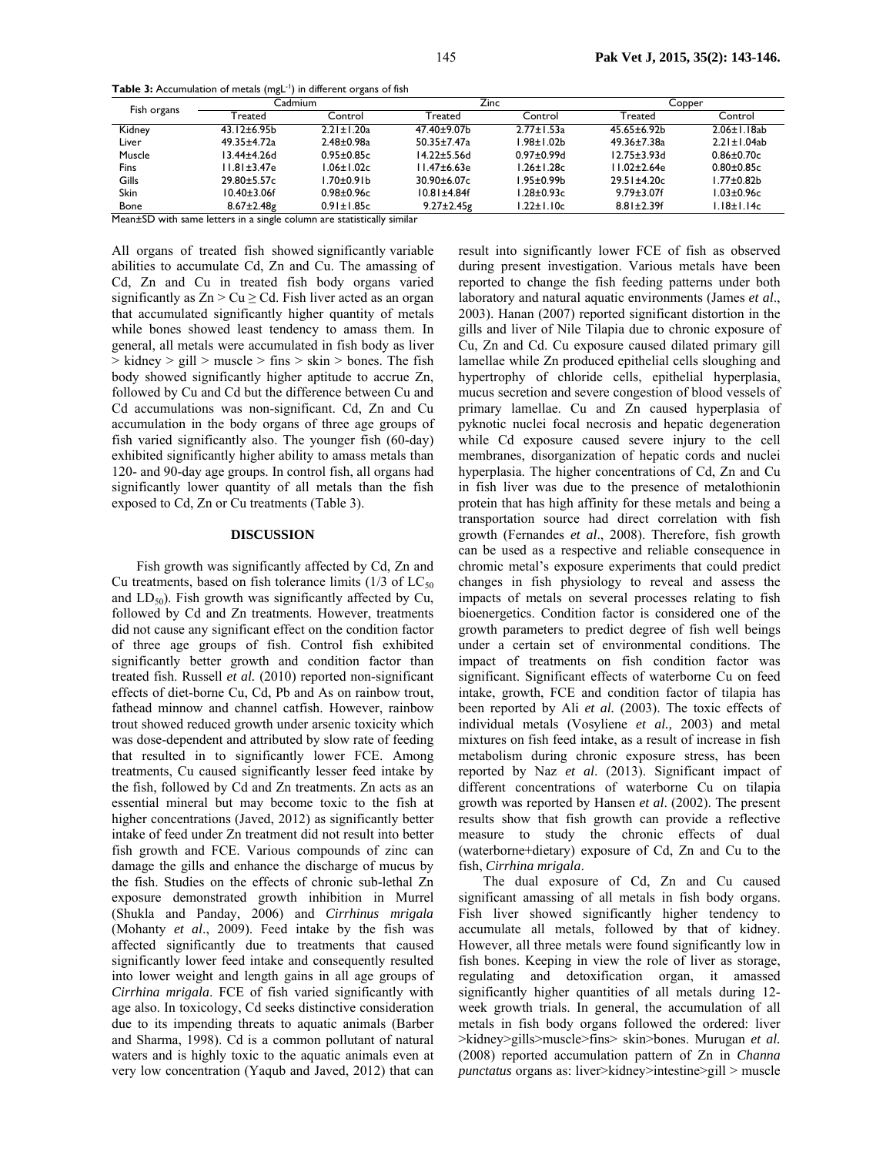**Table 3:** Accumulation of metals (mgL<sup>-1</sup>) in different organs of fish

| Fish organs | Cadmium            |                  | Zinc               |                   | Copper             |                    |
|-------------|--------------------|------------------|--------------------|-------------------|--------------------|--------------------|
|             | Treated            | Control          | Treated            | Control           | Treated            | Control            |
| Kidney      | $43.12 \pm 6.95b$  | $2.21 \pm 1.20a$ | 47.40±9.07b        | $2.77 \pm 1.53a$  | $45.65 \pm 6.92b$  | $2.06 \pm 1.18$ ab |
| Liver       | 49.35±4.72a        | $2.48 + 0.98a$   | $50.35 \pm 7.47$ a | l.98±1.02b        | 49.36±7.38a        | $2.21 \pm 1.04$ ab |
| Muscle      | l 3.44±4.26d       | $0.95 \pm 0.85c$ | 14.22±5.56d        | $0.97 \pm 0.99$ d | $12.75 \pm 3.93$ d | $0.86 \pm 0.70c$   |
| Fins        | II.81±3.47e        | $1.06 \pm 1.02c$ | $11.47\pm 6.63e$   | $1.26 \pm 1.28c$  | $11.02 \pm 2.64e$  | $0.80 \pm 0.85c$   |
| Gills       | $29.80 + 5.57c$    | l.70±0.91b       | $30.90 \pm 6.07c$  | 1.95±0.99b        | $29.51 \pm 4.20c$  | $1.77 \pm 0.82$ b  |
| <b>Skin</b> | $10.40 \pm 3.06$ f | $0.98 \pm 0.96c$ | $10.81 \pm 4.84f$  | $1.28 \pm 0.93c$  | $9.79 \pm 3.07$ f  | $1.03 \pm 0.96c$   |
| <b>Bone</b> | $8.67 \pm 2.48$ g  | $0.91 \pm 1.85c$ | $9.27 \pm 2.45$ g  | $1.22 \pm 1.10c$  | $8.81 \pm 2.39f$   | $1.18 \pm 1.14c$   |

Mean±SD with same letters in a single column are statistically similar

All organs of treated fish showed significantly variable abilities to accumulate Cd, Zn and Cu. The amassing of Cd, Zn and Cu in treated fish body organs varied significantly as  $Zn > Cu \geq Cd$ . Fish liver acted as an organ that accumulated significantly higher quantity of metals while bones showed least tendency to amass them. In general, all metals were accumulated in fish body as liver  $>$  kidney  $>$  gill  $>$  muscle  $>$  fins  $>$  skin  $>$  bones. The fish body showed significantly higher aptitude to accrue Zn, followed by Cu and Cd but the difference between Cu and Cd accumulations was non-significant. Cd, Zn and Cu accumulation in the body organs of three age groups of fish varied significantly also. The younger fish (60-day) exhibited significantly higher ability to amass metals than 120- and 90-day age groups. In control fish, all organs had significantly lower quantity of all metals than the fish exposed to Cd, Zn or Cu treatments (Table 3).

#### **DISCUSSION**

Fish growth was significantly affected by Cd, Zn and Cu treatments, based on fish tolerance limits  $(1/3 \text{ of } LC_{50})$ and  $LD_{50}$ ). Fish growth was significantly affected by Cu, followed by Cd and Zn treatments. However, treatments did not cause any significant effect on the condition factor of three age groups of fish. Control fish exhibited significantly better growth and condition factor than treated fish. Russell *et al.* (2010) reported non-significant effects of diet-borne Cu, Cd, Pb and As on rainbow trout, fathead minnow and channel catfish. However, rainbow trout showed reduced growth under arsenic toxicity which was dose-dependent and attributed by slow rate of feeding that resulted in to significantly lower FCE. Among treatments, Cu caused significantly lesser feed intake by the fish, followed by Cd and Zn treatments. Zn acts as an essential mineral but may become toxic to the fish at higher concentrations (Javed, 2012) as significantly better intake of feed under Zn treatment did not result into better fish growth and FCE. Various compounds of zinc can damage the gills and enhance the discharge of mucus by the fish. Studies on the effects of chronic sub-lethal Zn exposure demonstrated growth inhibition in Murrel (Shukla and Panday, 2006) and *Cirrhinus mrigala* (Mohanty *et al*., 2009). Feed intake by the fish was affected significantly due to treatments that caused significantly lower feed intake and consequently resulted into lower weight and length gains in all age groups of *Cirrhina mrigala*. FCE of fish varied significantly with age also. In toxicology, Cd seeks distinctive consideration due to its impending threats to aquatic animals (Barber and Sharma, 1998). Cd is a common pollutant of natural waters and is highly toxic to the aquatic animals even at very low concentration (Yaqub and Javed, 2012) that can result into significantly lower FCE of fish as observed during present investigation. Various metals have been reported to change the fish feeding patterns under both laboratory and natural aquatic environments (James *et al*., 2003). Hanan (2007) reported significant distortion in the gills and liver of Nile Tilapia due to chronic exposure of Cu, Zn and Cd. Cu exposure caused dilated primary gill lamellae while Zn produced epithelial cells sloughing and hypertrophy of chloride cells, epithelial hyperplasia, mucus secretion and severe congestion of blood vessels of primary lamellae. Cu and Zn caused hyperplasia of pyknotic nuclei focal necrosis and hepatic degeneration while Cd exposure caused severe injury to the cell membranes, disorganization of hepatic cords and nuclei hyperplasia. The higher concentrations of Cd, Zn and Cu in fish liver was due to the presence of metalothionin protein that has high affinity for these metals and being a transportation source had direct correlation with fish growth (Fernandes *et al*., 2008). Therefore, fish growth can be used as a respective and reliable consequence in chromic metal's exposure experiments that could predict changes in fish physiology to reveal and assess the impacts of metals on several processes relating to fish bioenergetics. Condition factor is considered one of the growth parameters to predict degree of fish well beings under a certain set of environmental conditions. The impact of treatments on fish condition factor was significant. Significant effects of waterborne Cu on feed intake, growth, FCE and condition factor of tilapia has been reported by Ali *et al.* (2003). The toxic effects of individual metals (Vosyliene *et al.,* 2003) and metal mixtures on fish feed intake, as a result of increase in fish metabolism during chronic exposure stress, has been reported by Naz *et al*. (2013). Significant impact of different concentrations of waterborne Cu on tilapia growth was reported by Hansen *et al*. (2002). The present results show that fish growth can provide a reflective measure to study the chronic effects of dual (waterborne+dietary) exposure of Cd, Zn and Cu to the fish, *Cirrhina mrigala*.

The dual exposure of Cd, Zn and Cu caused significant amassing of all metals in fish body organs. Fish liver showed significantly higher tendency to accumulate all metals, followed by that of kidney. However, all three metals were found significantly low in fish bones. Keeping in view the role of liver as storage, regulating and detoxification organ, it amassed significantly higher quantities of all metals during 12 week growth trials. In general, the accumulation of all metals in fish body organs followed the ordered: liver >kidney>gills>muscle>fins> skin>bones. Murugan *et al.* (2008) reported accumulation pattern of Zn in *Channa punctatus* organs as: liver>kidney>intestine>gill > muscle